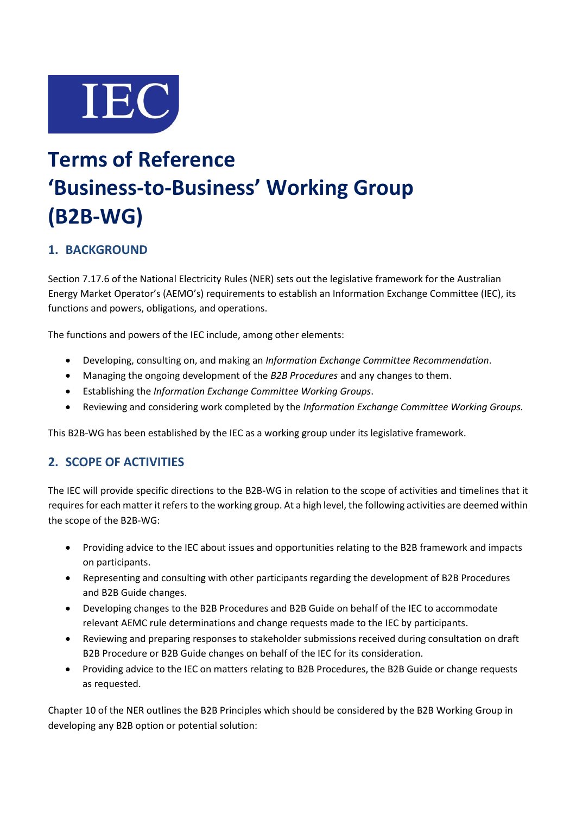

# **Terms of Reference 'Business-to-Business' Working Group (B2B-WG)**

# **1. BACKGROUND**

Section 7.17.6 of the National Electricity Rules (NER) sets out the legislative framework for the Australian Energy Market Operator's (AEMO's) requirements to establish an Information Exchange Committee (IEC), its functions and powers, obligations, and operations.

The functions and powers of the IEC include, among other elements:

- Developing, consulting on, and making an *Information Exchange Committee Recommendation*.
- Managing the ongoing development of the *B2B Procedures* and any changes to them.
- Establishing the *Information Exchange Committee Working Groups*.
- Reviewing and considering work completed by the *Information Exchange Committee Working Groups.*

This B2B-WG has been established by the IEC as a working group under its legislative framework.

# **2. SCOPE OF ACTIVITIES**

The IEC will provide specific directions to the B2B-WG in relation to the scope of activities and timelines that it requires for each matter it refers to the working group. At a high level, the following activities are deemed within the scope of the B2B-WG:

- Providing advice to the IEC about issues and opportunities relating to the B2B framework and impacts on participants.
- Representing and consulting with other participants regarding the development of B2B Procedures and B2B Guide changes.
- Developing changes to the B2B Procedures and B2B Guide on behalf of the IEC to accommodate relevant AEMC rule determinations and change requests made to the IEC by participants.
- Reviewing and preparing responses to stakeholder submissions received during consultation on draft B2B Procedure or B2B Guide changes on behalf of the IEC for its consideration.
- Providing advice to the IEC on matters relating to B2B Procedures, the B2B Guide or change requests as requested.

Chapter 10 of the NER outlines the B2B Principles which should be considered by the B2B Working Group in developing any B2B option or potential solution: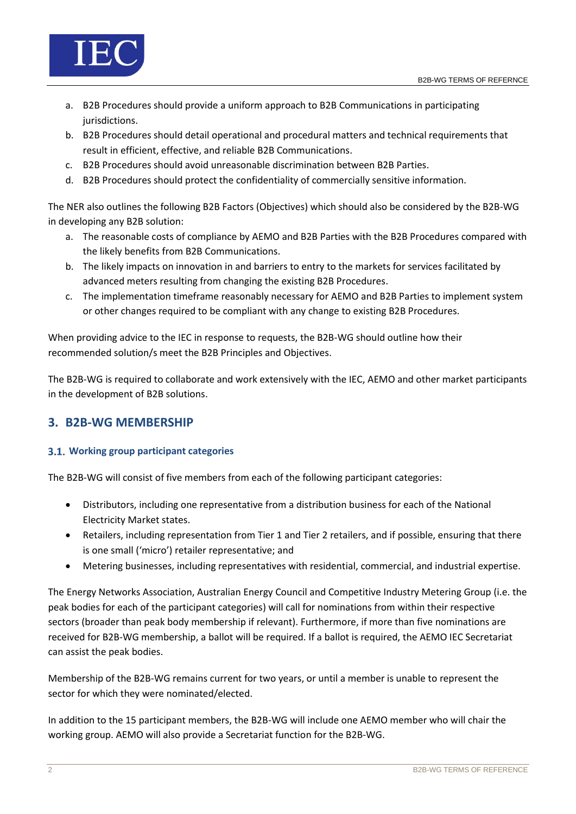

- a. B2B Procedures should provide a uniform approach to B2B Communications in participating jurisdictions.
- b. B2B Procedures should detail operational and procedural matters and technical requirements that result in efficient, effective, and reliable B2B Communications.
- c. B2B Procedures should avoid unreasonable discrimination between B2B Parties.
- d. B2B Procedures should protect the confidentiality of commercially sensitive information.

The NER also outlines the following B2B Factors (Objectives) which should also be considered by the B2B-WG in developing any B2B solution:

- a. The reasonable costs of compliance by AEMO and B2B Parties with the B2B Procedures compared with the likely benefits from B2B Communications.
- b. The likely impacts on innovation in and barriers to entry to the markets for services facilitated by advanced meters resulting from changing the existing B2B Procedures.
- c. The implementation timeframe reasonably necessary for AEMO and B2B Parties to implement system or other changes required to be compliant with any change to existing B2B Procedures.

When providing advice to the IEC in response to requests, the B2B-WG should outline how their recommended solution/s meet the B2B Principles and Objectives.

The B2B-WG is required to collaborate and work extensively with the IEC, AEMO and other market participants in the development of B2B solutions.

# **3. B2B-WG MEMBERSHIP**

## **Working group participant categories**

The B2B-WG will consist of five members from each of the following participant categories:

- Distributors, including one representative from a distribution business for each of the National Electricity Market states.
- Retailers, including representation from Tier 1 and Tier 2 retailers, and if possible, ensuring that there is one small ('micro') retailer representative; and
- Metering businesses, including representatives with residential, commercial, and industrial expertise.

The Energy Networks Association, Australian Energy Council and Competitive Industry Metering Group (i.e. the peak bodies for each of the participant categories) will call for nominations from within their respective sectors (broader than peak body membership if relevant). Furthermore, if more than five nominations are received for B2B-WG membership, a ballot will be required. If a ballot is required, the AEMO IEC Secretariat can assist the peak bodies.

Membership of the B2B-WG remains current for two years, or until a member is unable to represent the sector for which they were nominated/elected.

In addition to the 15 participant members, the B2B-WG will include one AEMO member who will chair the working group. AEMO will also provide a Secretariat function for the B2B-WG.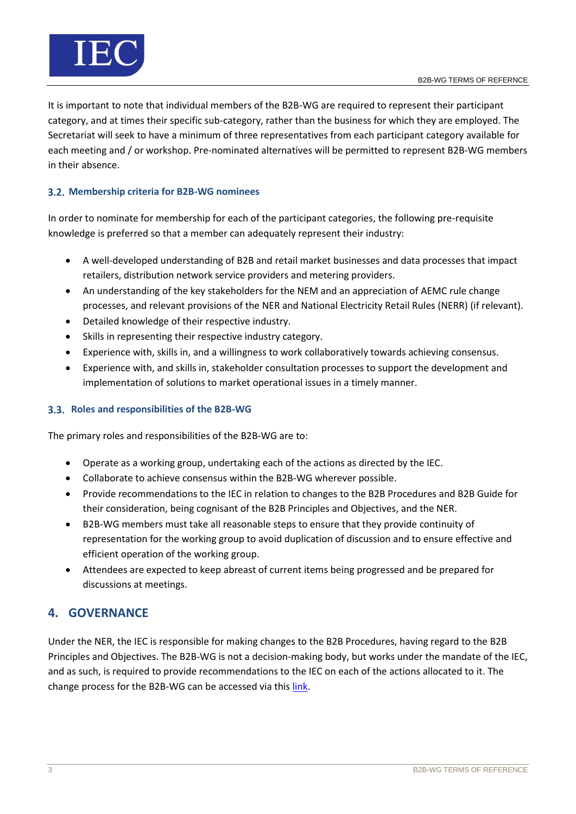

It is important to note that individual members of the B2B-WG are required to represent their participant category, and at times their specific sub-category, rather than the business for which they are employed. The Secretariat will seek to have a minimum of three representatives from each participant category available for each meeting and / or workshop. Pre-nominated alternatives will be permitted to represent B2B-WG members in their absence.

## **Membership criteria for B2B-WG nominees**

In order to nominate for membership for each of the participant categories, the following pre-requisite knowledge is preferred so that a member can adequately represent their industry:

- A well-developed understanding of B2B and retail market businesses and data processes that impact retailers, distribution network service providers and metering providers.
- An understanding of the key stakeholders for the NEM and an appreciation of AEMC rule change processes, and relevant provisions of the NER and National Electricity Retail Rules (NERR) (if relevant).
- Detailed knowledge of their respective industry.
- Skills in representing their respective industry category.
- Experience with, skills in, and a willingness to work collaboratively towards achieving consensus.
- Experience with, and skills in, stakeholder consultation processes to support the development and implementation of solutions to market operational issues in a timely manner.

## **Roles and responsibilities of the B2B-WG**

The primary roles and responsibilities of the B2B-WG are to:

- Operate as a working group, undertaking each of the actions as directed by the IEC.
- Collaborate to achieve consensus within the B2B-WG wherever possible.
- Provide recommendations to the IEC in relation to changes to the B2B Procedures and B2B Guide for their consideration, being cognisant of the B2B Principles and Objectives, and the NER.
- B2B-WG members must take all reasonable steps to ensure that they provide continuity of representation for the working group to avoid duplication of discussion and to ensure effective and efficient operation of the working group.
- Attendees are expected to keep abreast of current items being progressed and be prepared for discussions at meetings.

# **4. GOVERNANCE**

Under the NER, the IEC is responsible for making changes to the B2B Procedures, having regard to the B2B Principles and Objectives. The B2B-WG is not a decision-making body, but works under the mandate of the IEC, and as such, is required to provide recommendations to the IEC on each of the actions allocated to it. The change process for the B2B-WG can be accessed via this [link.](https://aemo.com.au/-/media/files/stakeholder_consultation/working_groups/retail_meetings/iec/b2b-change-process-v10.pdf)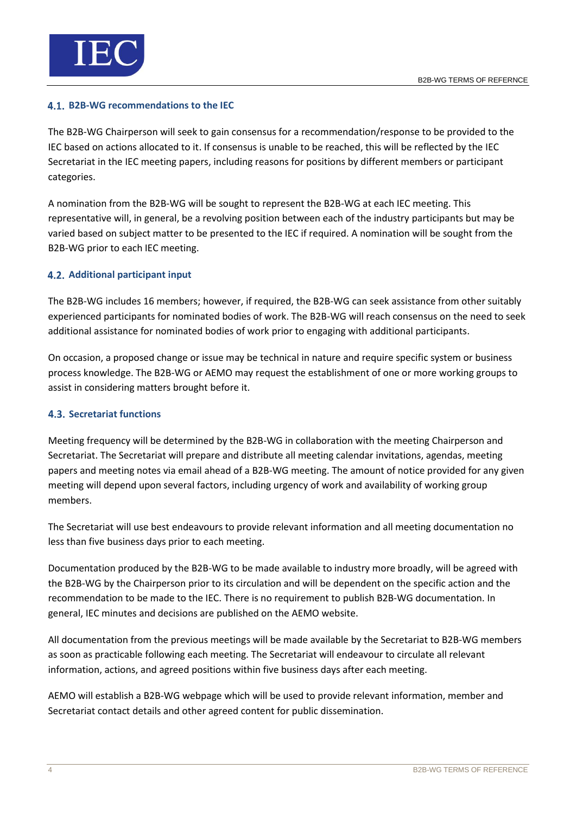

#### **B2B-WG recommendations to the IEC**

The B2B-WG Chairperson will seek to gain consensus for a recommendation/response to be provided to the IEC based on actions allocated to it. If consensus is unable to be reached, this will be reflected by the IEC Secretariat in the IEC meeting papers, including reasons for positions by different members or participant categories.

A nomination from the B2B-WG will be sought to represent the B2B-WG at each IEC meeting. This representative will, in general, be a revolving position between each of the industry participants but may be varied based on subject matter to be presented to the IEC if required. A nomination will be sought from the B2B-WG prior to each IEC meeting.

## **4.2. Additional participant input**

The B2B-WG includes 16 members; however, if required, the B2B-WG can seek assistance from other suitably experienced participants for nominated bodies of work. The B2B-WG will reach consensus on the need to seek additional assistance for nominated bodies of work prior to engaging with additional participants.

On occasion, a proposed change or issue may be technical in nature and require specific system or business process knowledge. The B2B-WG or AEMO may request the establishment of one or more working groups to assist in considering matters brought before it.

## **4.3. Secretariat functions**

Meeting frequency will be determined by the B2B-WG in collaboration with the meeting Chairperson and Secretariat. The Secretariat will prepare and distribute all meeting calendar invitations, agendas, meeting papers and meeting notes via email ahead of a B2B-WG meeting. The amount of notice provided for any given meeting will depend upon several factors, including urgency of work and availability of working group members.

The Secretariat will use best endeavours to provide relevant information and all meeting documentation no less than five business days prior to each meeting.

Documentation produced by the B2B-WG to be made available to industry more broadly, will be agreed with the B2B-WG by the Chairperson prior to its circulation and will be dependent on the specific action and the recommendation to be made to the IEC. There is no requirement to publish B2B-WG documentation. In general, IEC minutes and decisions are published on the AEMO website.

All documentation from the previous meetings will be made available by the Secretariat to B2B-WG members as soon as practicable following each meeting. The Secretariat will endeavour to circulate all relevant information, actions, and agreed positions within five business days after each meeting.

AEMO will establish a B2B-WG webpage which will be used to provide relevant information, member and Secretariat contact details and other agreed content for public dissemination.